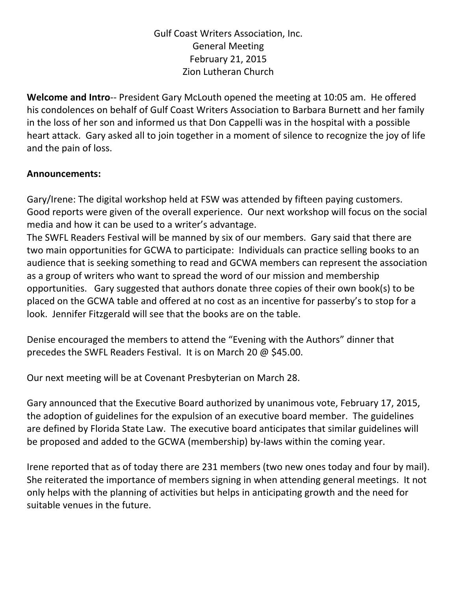## Gulf Coast Writers Association, Inc. General Meeting February 21, 2015 Zion Lutheran Church

**Welcome and Intro**‐‐ President Gary McLouth opened the meeting at 10:05 am. He offered his condolences on behalf of Gulf Coast Writers Association to Barbara Burnett and her family in the loss of her son and informed us that Don Cappelli was in the hospital with a possible heart attack. Gary asked all to join together in a moment of silence to recognize the joy of life and the pain of loss.

## **Announcements:**

Gary/Irene: The digital workshop held at FSW was attended by fifteen paying customers. Good reports were given of the overall experience. Our next workshop will focus on the social media and how it can be used to a writer's advantage.

The SWFL Readers Festival will be manned by six of our members. Gary said that there are two main opportunities for GCWA to participate: Individuals can practice selling books to an audience that is seeking something to read and GCWA members can represent the association as a group of writers who want to spread the word of our mission and membership opportunities. Gary suggested that authors donate three copies of their own book(s) to be placed on the GCWA table and offered at no cost as an incentive for passerby's to stop for a look. Jennifer Fitzgerald will see that the books are on the table.

Denise encouraged the members to attend the "Evening with the Authors" dinner that precedes the SWFL Readers Festival. It is on March 20 @ \$45.00.

Our next meeting will be at Covenant Presbyterian on March 28.

Gary announced that the Executive Board authorized by unanimous vote, February 17, 2015, the adoption of guidelines for the expulsion of an executive board member. The guidelines are defined by Florida State Law. The executive board anticipates that similar guidelines will be proposed and added to the GCWA (membership) by-laws within the coming year.

Irene reported that as of today there are 231 members (two new ones today and four by mail). She reiterated the importance of members signing in when attending general meetings. It not only helps with the planning of activities but helps in anticipating growth and the need for suitable venues in the future.